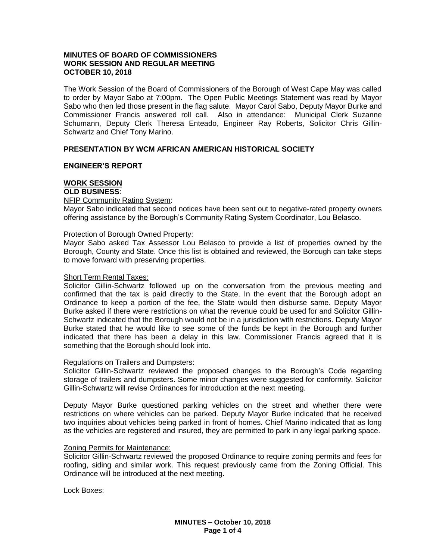# **MINUTES OF BOARD OF COMMISSIONERS WORK SESSION AND REGULAR MEETING OCTOBER 10, 2018**

The Work Session of the Board of Commissioners of the Borough of West Cape May was called to order by Mayor Sabo at 7:00pm. The Open Public Meetings Statement was read by Mayor Sabo who then led those present in the flag salute. Mayor Carol Sabo, Deputy Mayor Burke and Commissioner Francis answered roll call. Also in attendance: Municipal Clerk Suzanne Schumann, Deputy Clerk Theresa Enteado, Engineer Ray Roberts, Solicitor Chris Gillin-Schwartz and Chief Tony Marino.

# **PRESENTATION BY WCM AFRICAN AMERICAN HISTORICAL SOCIETY**

### **ENGINEER'S REPORT**

# **WORK SESSION**

# **OLD BUSINESS**:

### NFIP Community Rating System:

Mayor Sabo indicated that second notices have been sent out to negative-rated property owners offering assistance by the Borough's Community Rating System Coordinator, Lou Belasco.

#### Protection of Borough Owned Property:

Mayor Sabo asked Tax Assessor Lou Belasco to provide a list of properties owned by the Borough, County and State. Once this list is obtained and reviewed, the Borough can take steps to move forward with preserving properties.

#### Short Term Rental Taxes:

Solicitor Gillin-Schwartz followed up on the conversation from the previous meeting and confirmed that the tax is paid directly to the State. In the event that the Borough adopt an Ordinance to keep a portion of the fee, the State would then disburse same. Deputy Mayor Burke asked if there were restrictions on what the revenue could be used for and Solicitor Gillin-Schwartz indicated that the Borough would not be in a jurisdiction with restrictions. Deputy Mayor Burke stated that he would like to see some of the funds be kept in the Borough and further indicated that there has been a delay in this law. Commissioner Francis agreed that it is something that the Borough should look into.

# Regulations on Trailers and Dumpsters:

Solicitor Gillin-Schwartz reviewed the proposed changes to the Borough's Code regarding storage of trailers and dumpsters. Some minor changes were suggested for conformity. Solicitor Gillin-Schwartz will revise Ordinances for introduction at the next meeting.

Deputy Mayor Burke questioned parking vehicles on the street and whether there were restrictions on where vehicles can be parked. Deputy Mayor Burke indicated that he received two inquiries about vehicles being parked in front of homes. Chief Marino indicated that as long as the vehicles are registered and insured, they are permitted to park in any legal parking space.

#### Zoning Permits for Maintenance:

Solicitor Gillin-Schwartz reviewed the proposed Ordinance to require zoning permits and fees for roofing, siding and similar work. This request previously came from the Zoning Official. This Ordinance will be introduced at the next meeting.

Lock Boxes: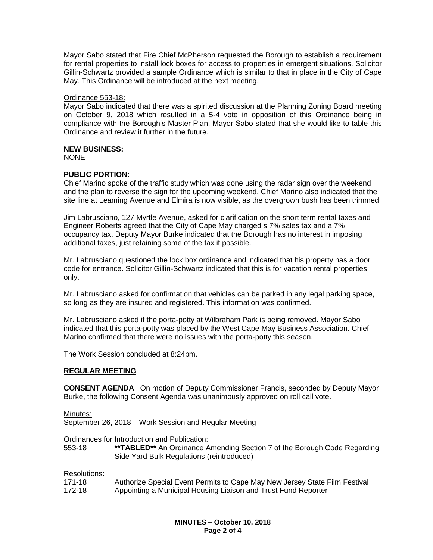Mayor Sabo stated that Fire Chief McPherson requested the Borough to establish a requirement for rental properties to install lock boxes for access to properties in emergent situations. Solicitor Gillin-Schwartz provided a sample Ordinance which is similar to that in place in the City of Cape May. This Ordinance will be introduced at the next meeting.

### Ordinance 553-18:

Mayor Sabo indicated that there was a spirited discussion at the Planning Zoning Board meeting on October 9, 2018 which resulted in a 5-4 vote in opposition of this Ordinance being in compliance with the Borough's Master Plan. Mayor Sabo stated that she would like to table this Ordinance and review it further in the future.

# **NEW BUSINESS:**

NONE

# **PUBLIC PORTION:**

Chief Marino spoke of the traffic study which was done using the radar sign over the weekend and the plan to reverse the sign for the upcoming weekend. Chief Marino also indicated that the site line at Leaming Avenue and Elmira is now visible, as the overgrown bush has been trimmed.

Jim Labrusciano, 127 Myrtle Avenue, asked for clarification on the short term rental taxes and Engineer Roberts agreed that the City of Cape May charged s 7% sales tax and a 7% occupancy tax. Deputy Mayor Burke indicated that the Borough has no interest in imposing additional taxes, just retaining some of the tax if possible.

Mr. Labrusciano questioned the lock box ordinance and indicated that his property has a door code for entrance. Solicitor Gillin-Schwartz indicated that this is for vacation rental properties only.

Mr. Labrusciano asked for confirmation that vehicles can be parked in any legal parking space, so long as they are insured and registered. This information was confirmed.

Mr. Labrusciano asked if the porta-potty at Wilbraham Park is being removed. Mayor Sabo indicated that this porta-potty was placed by the West Cape May Business Association. Chief Marino confirmed that there were no issues with the porta-potty this season.

The Work Session concluded at 8:24pm.

# **REGULAR MEETING**

**CONSENT AGENDA**: On motion of Deputy Commissioner Francis, seconded by Deputy Mayor Burke, the following Consent Agenda was unanimously approved on roll call vote.

Minutes:

September 26, 2018 – Work Session and Regular Meeting

Ordinances for Introduction and Publication:<br>553-18 **\*\*TABLED\*\*** An Ordinance A

\*\*TABLED\*\* An Ordinance Amending Section 7 of the Borough Code Regarding Side Yard Bulk Regulations (reintroduced)

# Resolutions:

| 171-18 | Authorize Special Event Permits to Cape May New Jersey State Film Festival |
|--------|----------------------------------------------------------------------------|
| 172-18 | Appointing a Municipal Housing Liaison and Trust Fund Reporter             |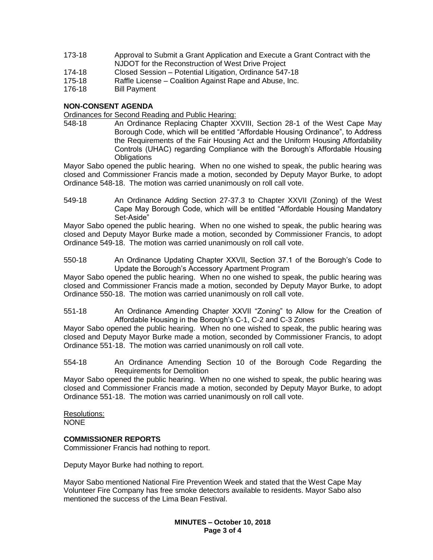- 173-18 Approval to Submit a Grant Application and Execute a Grant Contract with the NJDOT for the Reconstruction of West Drive Project
- 174-18 Closed Session Potential Litigation, Ordinance 547-18
- 175-18 Raffle License Coalition Against Rape and Abuse, Inc.
- 176-18 Bill Payment

### **NON-CONSENT AGENDA**

Ordinances for Second Reading and Public Hearing:

548-18 An Ordinance Replacing Chapter XXVIII, Section 28-1 of the West Cape May Borough Code, which will be entitled "Affordable Housing Ordinance", to Address the Requirements of the Fair Housing Act and the Uniform Housing Affordability Controls (UHAC) regarding Compliance with the Borough's Affordable Housing **Obligations** 

Mayor Sabo opened the public hearing. When no one wished to speak, the public hearing was closed and Commissioner Francis made a motion, seconded by Deputy Mayor Burke, to adopt Ordinance 548-18. The motion was carried unanimously on roll call vote.

549-18 An Ordinance Adding Section 27-37.3 to Chapter XXVII (Zoning) of the West Cape May Borough Code, which will be entitled "Affordable Housing Mandatory Set-Aside"

Mayor Sabo opened the public hearing. When no one wished to speak, the public hearing was closed and Deputy Mayor Burke made a motion, seconded by Commissioner Francis, to adopt Ordinance 549-18. The motion was carried unanimously on roll call vote.

550-18 An Ordinance Updating Chapter XXVII, Section 37.1 of the Borough's Code to Update the Borough's Accessory Apartment Program

Mayor Sabo opened the public hearing. When no one wished to speak, the public hearing was closed and Commissioner Francis made a motion, seconded by Deputy Mayor Burke, to adopt Ordinance 550-18. The motion was carried unanimously on roll call vote.

551-18 An Ordinance Amending Chapter XXVII "Zoning" to Allow for the Creation of Affordable Housing in the Borough's C-1, C-2 and C-3 Zones

Mayor Sabo opened the public hearing. When no one wished to speak, the public hearing was closed and Deputy Mayor Burke made a motion, seconded by Commissioner Francis, to adopt Ordinance 551-18. The motion was carried unanimously on roll call vote.

554-18 An Ordinance Amending Section 10 of the Borough Code Regarding the Requirements for Demolition

Mayor Sabo opened the public hearing. When no one wished to speak, the public hearing was closed and Commissioner Francis made a motion, seconded by Deputy Mayor Burke, to adopt Ordinance 551-18. The motion was carried unanimously on roll call vote.

Resolutions: NONE

# **COMMISSIONER REPORTS**

Commissioner Francis had nothing to report.

Deputy Mayor Burke had nothing to report.

Mayor Sabo mentioned National Fire Prevention Week and stated that the West Cape May Volunteer Fire Company has free smoke detectors available to residents. Mayor Sabo also mentioned the success of the Lima Bean Festival.

> **MINUTES – October 10, 2018 Page 3 of 4**